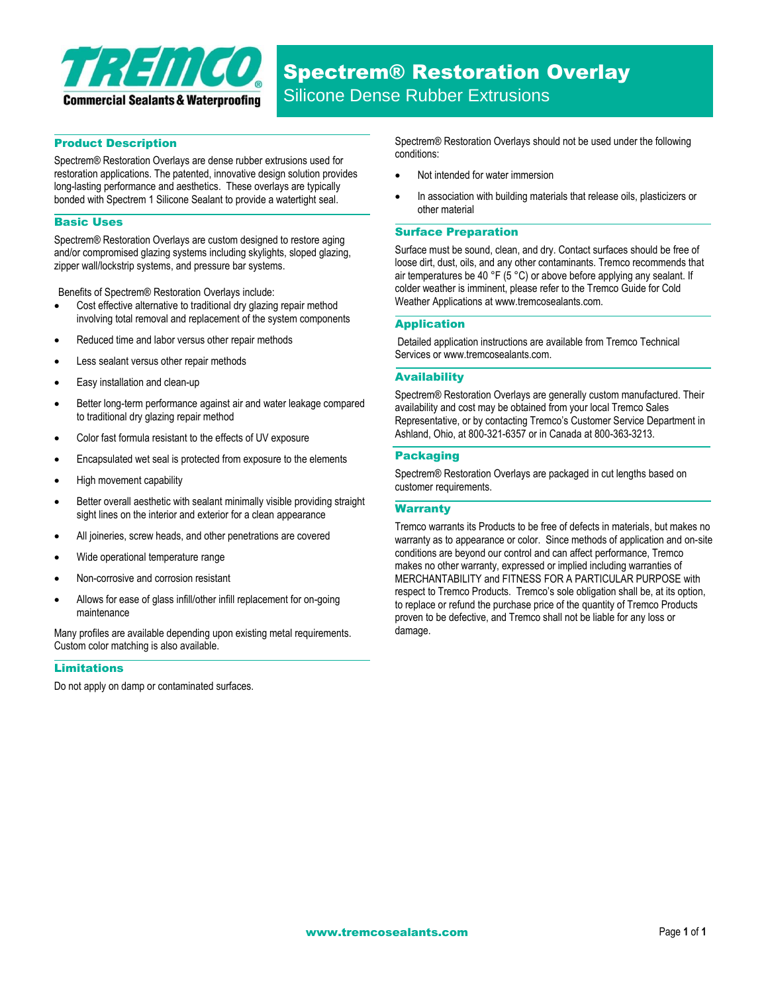

## Product Description

Spectrem® Restoration Overlays are dense rubber extrusions used for restoration applications. The patented, innovative design solution provides long-lasting performance and aesthetics. These overlays are typically bonded with Spectrem 1 Silicone Sealant to provide a watertight seal.

#### Basic Uses

Spectrem® Restoration Overlays are custom designed to restore aging and/or compromised glazing systems including skylights, sloped glazing, zipper wall/lockstrip systems, and pressure bar systems.

Benefits of Spectrem® Restoration Overlays include:

- Cost effective alternative to traditional dry glazing repair method involving total removal and replacement of the system components
- Reduced time and labor versus other repair methods
- Less sealant versus other repair methods
- Easy installation and clean-up
- Better long-term performance against air and water leakage compared to traditional dry glazing repair method
- Color fast formula resistant to the effects of UV exposure
- Encapsulated wet seal is protected from exposure to the elements
- High movement capability
- Better overall aesthetic with sealant minimally visible providing straight sight lines on the interior and exterior for a clean appearance
- All joineries, screw heads, and other penetrations are covered
- Wide operational temperature range
- Non-corrosive and corrosion resistant
- Allows for ease of glass infill/other infill replacement for on-going maintenance

Many profiles are available depending upon existing metal requirements. Custom color matching is also available.

## Limitations

Do not apply on damp or contaminated surfaces.

Spectrem® Restoration Overlays should not be used under the following conditions:

- Not intended for water immersion
- In association with building materials that release oils, plasticizers or other material

#### Surface Preparation

Surface must be sound, clean, and dry. Contact surfaces should be free of loose dirt, dust, oils, and any other contaminants. Tremco recommends that air temperatures be 40 °F (5 °C) or above before applying any sealant. If colder weather is imminent, please refer to the Tremco Guide for Cold Weather Applications at www.tremcosealants.com.

#### Application

Detailed application instructions are available from Tremco Technical Services or www.tremcosealants.com.

#### **Availability**

Spectrem® Restoration Overlays are generally custom manufactured. Their availability and cost may be obtained from your local Tremco Sales Representative, or by contacting Tremco's Customer Service Department in Ashland, Ohio, at 800-321-6357 or in Canada at 800-363-3213.

## Packaging

Spectrem® Restoration Overlays are packaged in cut lengths based on customer requirements.

## **Warranty**

Tremco warrants its Products to be free of defects in materials, but makes no warranty as to appearance or color. Since methods of application and on-site conditions are beyond our control and can affect performance, Tremco makes no other warranty, expressed or implied including warranties of MERCHANTABILITY and FITNESS FOR A PARTICULAR PURPOSE with respect to Tremco Products. Tremco's sole obligation shall be, at its option, to replace or refund the purchase price of the quantity of Tremco Products proven to be defective, and Tremco shall not be liable for any loss or damage.